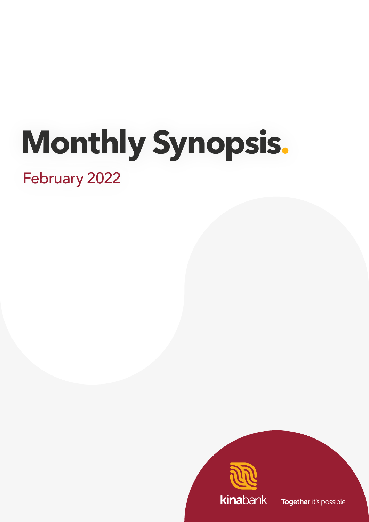# **Monthly Synopsis.**

February 2022



Together it's possible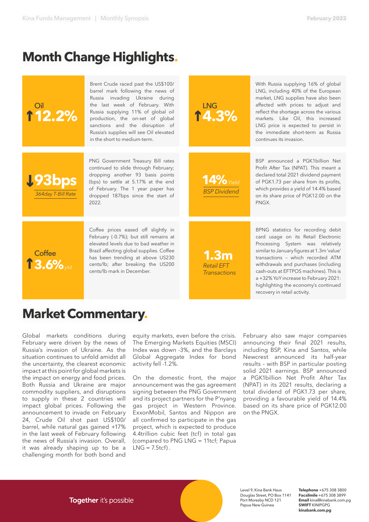## **Month Change Highlights.**

| <b>112.2%</b>                | Brent Crude raced past the US\$100/<br>barrel mark following the news of<br>Russia invading Ukraine during<br>the last week of February. With<br>Russia supplying 11% of global oil<br>production, the on-set of global<br>sanctions and the disruption of<br>Russia's supplies will see Oil elevated<br>in the short to medium-term. | <b>LNG</b><br>14.3%                                          | With Russia supplying 16% of global<br>LNG, including 40% of the European<br>market, LNG supplies have also been<br>affected with prices to adjust and<br>reflect the shortage across the various<br>markets. Like Oil, this increased<br>LNG price is expected to persist in<br>the immediate short-term as Russia<br>continues its invasion.                       |
|------------------------------|---------------------------------------------------------------------------------------------------------------------------------------------------------------------------------------------------------------------------------------------------------------------------------------------------------------------------------------|--------------------------------------------------------------|----------------------------------------------------------------------------------------------------------------------------------------------------------------------------------------------------------------------------------------------------------------------------------------------------------------------------------------------------------------------|
| 193bps<br>364day T-Bill Rate | PNG Government Treasury Bill rates<br>continued to slide through February;<br>dropping another 93 basis points<br>(bps) to settle at 5.17% at the end<br>of February. The 1 year paper has<br>dropped 187bps since the start of<br>2022.                                                                                              | $14\%$ Yield<br><b>BSP Dividend</b>                          | BSP announced a PGK1billion Net<br>Profit After Tax (NPAT). This meant a<br>declared total 2021 dividend payment<br>of PGK1.73 per share from its profits,<br>which provides a yield of 14.4% based<br>on its share price of PGK12.00 on the<br>PNGX.                                                                                                                |
| Coffee<br>13.6%              | Coffee prices eased off slightly in<br>February (-0.7%); but still remains at<br>elevated levels due to bad weather in<br>Brazil affecting global supplies. Coffee<br>has been trending at above US230<br>cents/lb; after breaking the US200<br>cents/lb mark in December.                                                            | 1.3 <sub>m</sub><br><b>Retail EFT</b><br><b>Transactions</b> | BPNG statistics for recording debit<br>card usage on its Retail Electronic<br>Processing System was relatively<br>similar to January figures at 1.3m 'value'<br>transactions - which recorded ATM<br>withdrawals and purchases (including<br>cash-outs at EFTPOS machines). This is<br>a +32% YoY increase to February 2021:<br>highlighting the economy's continued |

## **Market Commentary.**

Global markets conditions during February were driven by the news of Russia's invasion of Ukraine. As the situation continues to unfold amidst all the uncertainty, the clearest economic impact at this point for global markets is the impact on energy and food prices. Both Russia and Ukraine are major commodity suppliers, and disruptions to supply in these 2 countries will impact global prices. Following the announcement to invade on February 24, Crude Oil shot past US\$100/ barrel, while natural gas gained +17% in the last week of February following the news of Russia's invasion. Overall, it was already shaping up to be a challenging month for both bond and

equity markets, even before the crisis. The Emerging Markets Equities (MSCI) Index was down -3%, and the Barclays Global Aggregate Index for bond activity fell -1.2%.

On the domestic front, the major announcement was the gas agreement signing between the PNG Government and its project partners for the P'nyang gas project in Western Province. ExxonMobil, Santos and Nippon are all confirmed to participate in the gas project, which is expected to produce 4.4trillion cubic feet (tcf) in total gas (compared to PNG LNG = 11tcf; Papua  $LNG = 7.5tcf$ ).

February also saw major companies announcing their final 2021 results, including BSP, Kina and Santos, while Newcrest announced its half-year results – with BSP in particular posting solid 2021 earnings. BSP announced a PGK1billion Net Profit After Tax (NPAT) in its 2021 results, declaring a total dividend of PGK1.73 per share, providing a favourable yield of 14.4% based on its share price of PGK12.00 on the PNGX.

recovery in retail activity.

**Together** it's possible



Level 9, Kina Bank Haus Douglas Street, PO Box 1141 Port Moresby NCD 121 Papua New Guinea

**Telephone** +675 308 3800 **Facsilmile** +675 308 3899 **Email** kina@kinabank.com.pg **SWIFT** KINIPGPG **kinabank.com.pg**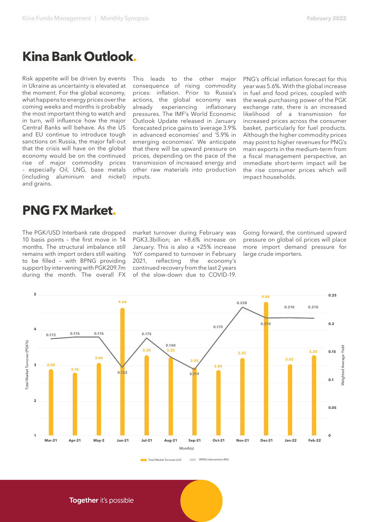## **Kina Bank Outlook.**

Risk appetite will be driven by events in Ukraine as uncertainty is elevated at the moment. For the global economy, what happens to energy prices over the coming weeks and months is probably the most important thing to watch and in turn, will influence how the major Central Banks will behave. As the US and EU continue to introduce tough sanctions on Russia, the major fall-out that the crisis will have on the global economy would be on the continued rise of major commodity prices – especially Oil, LNG, base metals (including aluminium and nickel) and grains.

This leads to the other major consequence of rising commodity prices: inflation. Prior to Russia's actions, the global economy was<br>already experiencing inflationary already experiencing pressures. The IMF's World Economic Outlook Update released in January forecasted price gains to 'average 3.9% in advanced economies' and '5.9% in emerging economies'. We anticipate that there will be upward pressure on prices, depending on the pace of the transmission of increased energy and other raw materials into production inputs.

PNG's official inflation forecast for this year was 5.6%. With the global increase in fuel and food prices, coupled with the weak purchasing power of the PGK exchange rate, there is an increased likelihood of a transmission for increased prices across the consumer basket, particularly for fuel products. Although the higher commodity prices may point to higher revenues for PNG's main exports in the medium-term from a fiscal management perspective, an immediate short-term impact will be the rise consumer prices which will impact households.

## **PNG FX Market.**

The PGK/USD Interbank rate dropped 10 basis points – the first move in 14 months. The structural imbalance still remains with import orders still waiting to be filled – with BPNG providing support by intervening with PGK209.7m during the month. The overall FX market turnover during February was PGK3.3billion; an +8.6% increase on January. This is also a +25% increase YoY compared to turnover in February 2021, reflecting the economy's continued recovery from the last 2 years of the slow-down due to COVID-19. Going forward, the continued upward pressure on global oil prices will place more import demand pressure for large crude importers.



Together it's possible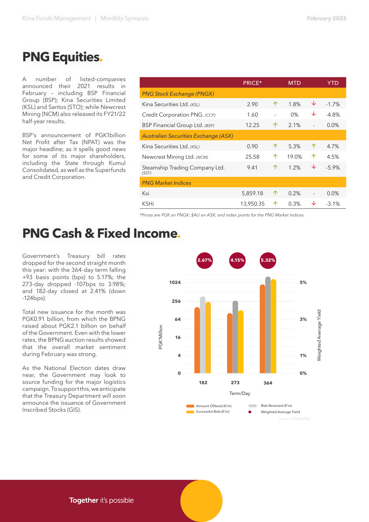## **PNG Equities.**

A number of listed-companies announced their 2021 results in February – including BSP Financial Group (BSP); Kina Securities Limited (KSL) and Santos (STO); while Newcrest Mining (NCM) also released its FY21/22 half-year results.

BSP's announcement of PGK1billion Net Profit after Tax (NPAT) was the major headline; as it spells good news for some of its major shareholders, including the State through Kumul Consolidated, as well as the Superfunds and Credit Corporation.

|                                             | <b>PRICE*</b> |   | <b>MTD</b> |   | YTD      |
|---------------------------------------------|---------------|---|------------|---|----------|
| <b>PNG Stock Exchange (PNGX)</b>            |               |   |            |   |          |
| Kina Securities Ltd. (KSL)                  | 2.90          | 个 | 1.8%       | ↓ | $-1.7%$  |
| Credit Corporation PNG. (CCP)               | 1.60          |   | $0\%$      | ↓ | $-4.8%$  |
| BSP Financial Group Ltd. (BSP)              | 12.25         | ↑ | 2.1%       |   | 0.0%     |
| <b>Australian Securities Exchange (ASX)</b> |               |   |            |   |          |
| Kina Securities Ltd. (KSL)                  | 0.90          | ↑ | 5.3%       | 个 | 4.7%     |
| Newcrest Mining Ltd. (NCM)                  | 25.58         | ↑ | 19.0%      | 个 | 4.5%     |
| Steamship Trading Company Ltd.<br>(SST)     | 9.41          | 个 | 1.2%       | ↓ | $-5.9\%$ |
| <b>PNG Market Indices</b>                   |               |   |            |   |          |
| Ksi                                         | 5,859.18      | ↑ | 0.2%       |   | 0.0%     |
| KSHi                                        | 13,950.35     | ↑ | 0.3%       | ◡ | $-3.1%$  |

*\*Prices are PGK on PNGX; \$AU on ASX; and index points for the PNG Market Indices.*

## **PNG Cash & Fixed Income.**

Government's Treasury bill rates dropped for the second straight month this year: with the 364-day term falling +93 basis points (bps) to 5.17%; the 273-day dropped -107bps to 3.98%; and 182-day closed at 2.41% (down -124bps).

Total new issuance for the month was PGK0.91 billion, from which the BPNG raised about PGK2.1 billion on behalf of the Government. Even with the lower rates, the BPNG auction results showed that the overall market sentiment during February was strong.

As the National Election dates draw near, the Government may look to source funding for the major logistics campaign. To support this, we anticipate that the Treasury Department will soon announce the issuance of Government Inscribed Stocks (GIS).





Weighted Average Yield

Veighted Average Yield

Together it's possible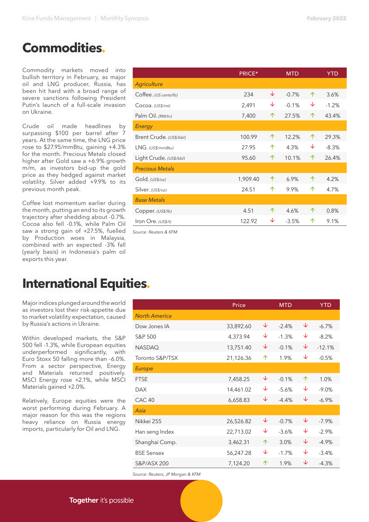### **Commodities.**

Commodity markets moved into bullish territory in February, as major oil and LNG producer, Russia, has been hit hard with a broad range of severe sanctions following President Putin's launch of a full-scale invasion on Ukraine.

Crude oil made headlines by surpassing \$100 per barrel after 7 years. At the same time, the LNG price rose to \$27.95/mmBtu, gaining +4.3% for the month. Precious Metals closed higher after Gold saw a +6.9% growth m/m, as investors bid-up the gold price as they hedged against market volatility. Silver added +9.9% to its previous month peak.

Coffee lost momentum earlier during the month, putting an end to its growth trajectory after shedding about -0.7%. Cocoa also fell -0.1%, while Palm Oil saw a strong gain of +27.5%, fuelled by Production woes in Malaysia, combined with an expected -3% fall (yearly basis) in Indonesia's palm oil exports this year.

|                         | PRICE*   |   | <b>MTD</b> |   | <b>YTD</b> |
|-------------------------|----------|---|------------|---|------------|
| <b>Agriculture</b>      |          |   |            |   |            |
| Coffee. (US cents/lb)   | 234      | ↓ | $-0.7%$    | 个 | 3.6%       |
| Cocoa. (US\$/mt)        | 2,491    | ↓ | $-0.1%$    | ↓ | $-1.2%$    |
| Palm Oil. (RM/tn)       | 7,400    | 个 | 27.5%      | 个 | 43.4%      |
| Energy                  |          |   |            |   |            |
| Brent Crude. (US\$/bbl) | 100.99   | 个 | 12.2%      | 个 | 29.3%      |
| LNG. (US\$/mmBtu)       | 27.95    | 个 | 4.3%       | ↓ | $-8.3%$    |
| Light Crude. (US\$/bbl) | 95.60    | 个 | 10.1%      | 个 | 26.4%      |
| <b>Precious Metals</b>  |          |   |            |   |            |
| Gold. (US\$/oz)         | 1,909.40 | 个 | 6.9%       | 个 | 4.2%       |
| Silver. (US\$/oz)       | 24.51    | 个 | 9.9%       | 个 | 4.7%       |
| <b>Base Metals</b>      |          |   |            |   |            |
| Copper. (US\$/lb)       | 4.51     | 个 | 4.6%       | 个 | 0.8%       |
| Iron Ore. (US\$/t)      | 122.92   | ↓ | $-3.5%$    | 个 | 9.1%       |

*Source: Reuters & KFM* 

## **International Equities.**

Major indices plunged around the world as investors lost their risk-appetite due to market volatility expectation, caused by Russia's actions in Ukraine.

Within developed markets, the S&P 500 fell -1.3%, while European equities underperformed significantly, with Euro Stoxx 50 falling more than -6.0%. From a sector perspective, Energy and Materials returned positively. MSCI Energy rose +2.1%, while MSCI Materials gained +2.0%.

Relatively, Europe equities were the worst performing during February. A major reason for this was the regions heavy reliance on Russia energy imports, particularly for Oil and LNG.

|                      | Price     |   | <b>MTD</b> |   | <b>YTD</b> |
|----------------------|-----------|---|------------|---|------------|
| <b>North America</b> |           |   |            |   |            |
| Dow Jones IA         | 33,892.60 | ↓ | $-2.4%$    | ↓ | $-6.7\%$   |
| S&P 500              | 4,373.94  | ↓ | $-1.3%$    | ↓ | $-8.2%$    |
| <b>NASDAQ</b>        | 13,751.40 | ↓ | $-0.1%$    | ↓ | $-12.1%$   |
| Toronto S&P/TSX      | 21,126.36 | 个 | 1.9%       | ↓ | $-0.5%$    |
| <b>Europe</b>        |           |   |            |   |            |
| <b>FTSE</b>          | 7,458.25  | ↓ | $-0.1%$    | 个 | 1.0%       |
| <b>DAX</b>           | 14,461.02 | ↓ | $-5.6%$    | ↓ | $-9.0%$    |
| CAC <sub>40</sub>    | 6,658.83  | ↓ | $-4.4%$    | ↓ | $-6.9\%$   |
| Asia                 |           |   |            |   |            |
| Nikkei 255           | 26,526.82 | ↓ | $-0.7%$    | ↓ | $-7.9%$    |
| Han seng Index       | 22,713.02 | ↓ | $-3.6%$    | ↓ | $-2.9%$    |
| Shanghai Comp.       | 3,462.31  | 个 | 3.0%       | ↓ | $-4.9%$    |
| <b>BSE Sensex</b>    | 56,247.28 | ↓ | $-1.7%$    | ↓ | $-3.4%$    |
| S&P/ASX 200          | 7,124.20  | 个 | 1.9%       | ↓ | $-4.3%$    |
|                      |           |   |            |   |            |

*Source: Reuters, JP Morgan & KFM*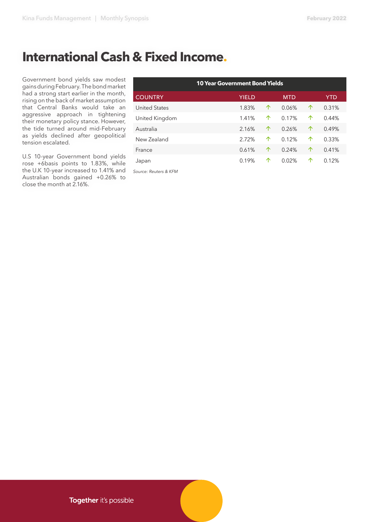## **International Cash & Fixed Income.**

Government bond yields saw modest gains during February. The bond market had a strong start earlier in the month, rising on the back of market assumption that Central Banks would take an aggressive approach in tightening their monetary policy stance. However, the tide turned around mid-February as yields declined after geopolitical tension escalated.

U.S 10-year Government bond yields rose +6basis points to 1.83%, while the U.K 10-year increased to 1.41% and Australian bonds gained +0.26% to close the month at 2.16%.

| <b>10 Year Government Bond Yields</b> |              |   |            |   |            |
|---------------------------------------|--------------|---|------------|---|------------|
| <b>COUNTRY</b>                        | <b>YIELD</b> |   | <b>MTD</b> |   | <b>YTD</b> |
| <b>United States</b>                  | 1.83%        | 个 | 0.06%      | 个 | 0.31%      |
| United Kingdom                        | 1.41%        | 个 | 0.17%      | ↑ | 0.44%      |
| Australia                             | 2.16%        | 个 | 0.26%      | 个 | 0.49%      |
| New Zealand                           | 2.72%        | 个 | 0.12%      | ↑ | 0.33%      |
| France                                | 0.61%        | 个 | 0.24%      | 个 | 0.41%      |
| Japan                                 | 0.19%        | ↑ | 0.02%      | ↑ | 0.12%      |

*Source: Reuters & KFM*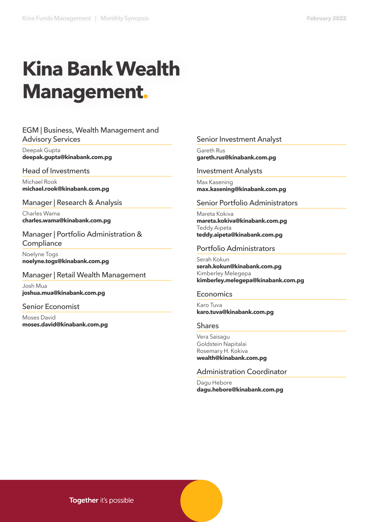# **Kina Bank Wealth Management.**

#### EGM | Business, Wealth Management and Advisory Services

Deepak Gupta **deepak.gupta@kinabank.com.pg** 

#### Head of Investments

Michael Rook **michael.rook@kinabank.com.pg**

Manager | Research & Analysis

Charles Wama **charles.wama@kinabank.com.pg**

Manager | Portfolio Administration & **Compliance** 

Noelyne Togs **noelyne.togs@kinabank.com.pg**

#### Manager | Retail Wealth Management

Josh Mua **joshua.mua@kinabank.com.pg**

#### Senior Economist

Moses David **moses.david@kinabank.com.pg**

#### Senior Investment Analyst

Gareth Rus **gareth.rus@kinabank.com.pg**

#### Investment Analysts

Max Kasening **max.kasening@kinabank.com.pg**

#### Senior Portfolio Administrators

Mareta Kokiva **mareta.kokiva@kinabank.com.pg**  Teddy Aipeta **teddy.aipeta@kinabank.com.pg**

#### Portfolio Administrators

Serah Kokun **serah.kokun@kinabank.com.pg**  Kimberley Melegepa **kimberley.melegepa@kinabank.com.pg**

#### Economics

Karo Tuva **karo.tuva@kinabank.com.pg**

#### Shares

Vera Saisagu Goldstein Napitalai Rosemary H. Kokiva **wealth@kinabank.com.pg**

#### Administration Coordinator

Dagu Hebore **dagu.hebore@kinabank.com.pg**